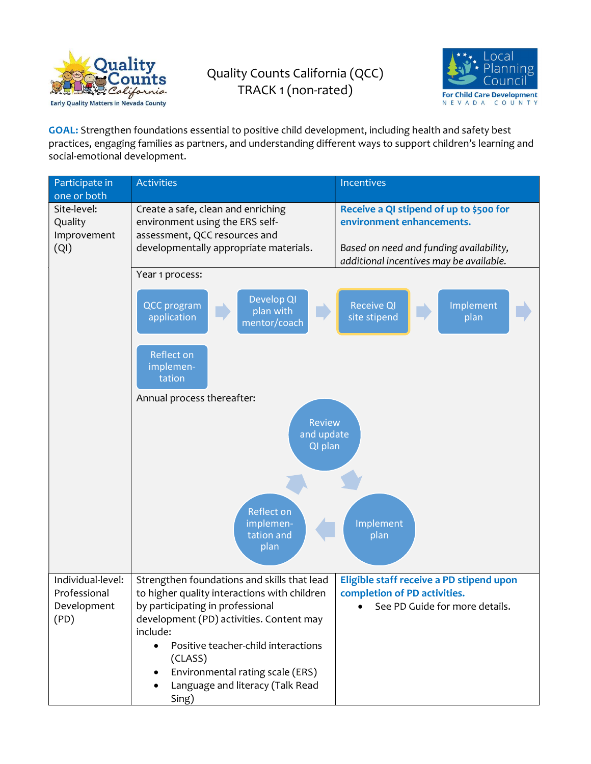

## Quality Counts California (QCC) TRACK 1 (non-rated)



GOAL: Strengthen foundations essential to positive child development, including health and safety best practices, engaging families as partners, and understanding different ways to support children's learning and social-emotional development.

| Participate in<br>one or both                 | <b>Activities</b>                                                                                                                                | <b>Incentives</b>                                                                                               |  |
|-----------------------------------------------|--------------------------------------------------------------------------------------------------------------------------------------------------|-----------------------------------------------------------------------------------------------------------------|--|
| Site-level:<br>Quality<br>Improvement<br>(QI) | Create a safe, clean and enriching<br>environment using the ERS self-<br>assessment, QCC resources and<br>developmentally appropriate materials. | Receive a QI stipend of up to \$500 for<br>environment enhancements.<br>Based on need and funding availability, |  |
|                                               |                                                                                                                                                  | additional incentives may be available.                                                                         |  |
|                                               | Year 1 process:                                                                                                                                  |                                                                                                                 |  |
|                                               | Develop QI<br><b>QCC</b> program<br>plan with<br>application<br>mentor/coach                                                                     | <b>Receive QI</b><br>Implement<br>site stipend<br>plan                                                          |  |
|                                               | Reflect on<br>implemen-<br>tation                                                                                                                |                                                                                                                 |  |
|                                               | Annual process thereafter:                                                                                                                       |                                                                                                                 |  |
|                                               | <b>Review</b><br>and update<br>QI plan                                                                                                           |                                                                                                                 |  |
|                                               | <b>Reflect on</b><br>implemen-<br>tation and<br>plan                                                                                             | Implement<br>plan                                                                                               |  |
| Individual-level:<br>Professional             | Strengthen foundations and skills that lead<br>to higher quality interactions with children                                                      | Eligible staff receive a PD stipend upon<br>completion of PD activities.                                        |  |
| Development                                   | by participating in professional                                                                                                                 | See PD Guide for more details.                                                                                  |  |
| (PD)                                          | development (PD) activities. Content may                                                                                                         |                                                                                                                 |  |
|                                               | include:<br>Positive teacher-child interactions<br>$\bullet$                                                                                     |                                                                                                                 |  |
|                                               | (CLASS)                                                                                                                                          |                                                                                                                 |  |
|                                               | Environmental rating scale (ERS)<br>$\bullet$                                                                                                    |                                                                                                                 |  |
|                                               | Language and literacy (Talk Read<br>Sing)                                                                                                        |                                                                                                                 |  |